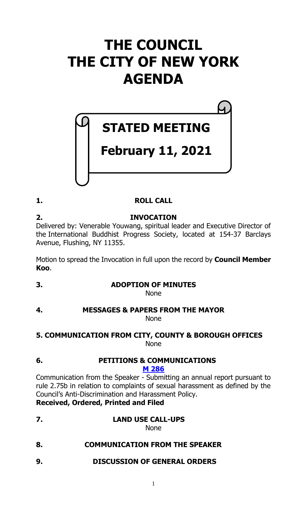# **THE COUNCIL THE CITY OF NEW YORK AGENDA**

# **STATED MEETING**

# **February 11, 2021**

# **1. ROLL CALL**

# **2. INVOCATION**

Delivered by: Venerable Youwang, spiritual leader and Executive Director of the International Buddhist Progress Society, located at 154-37 Barclays Avenue, Flushing, NY 11355.

Motion to spread the Invocation in full upon the record by **Council Member Koo**.

**3. ADOPTION OF MINUTES**

None

# **4. MESSAGES & PAPERS FROM THE MAYOR** None

### **5. COMMUNICATION FROM CITY, COUNTY & BOROUGH OFFICES** None

# **6. PETITIONS & COMMUNICATIONS**

# **M [286](https://legistar.council.nyc.gov/LegislationDetail.aspx?ID=4795481&GUID=4F1F0DDC-AF56-4D65-9B60-23672FE0DD1B&Options=ID|Text|&Search=)**

Communication from the Speaker - Submitting an annual report pursuant to rule 2.75b in relation to complaints of sexual harassment as defined by the Council's Anti-Discrimination and Harassment Policy.

**Received, Ordered, Printed and Filed**

**7. LAND USE CALL-UPS**

None

**8. COMMUNICATION FROM THE SPEAKER**

# **9. DISCUSSION OF GENERAL ORDERS**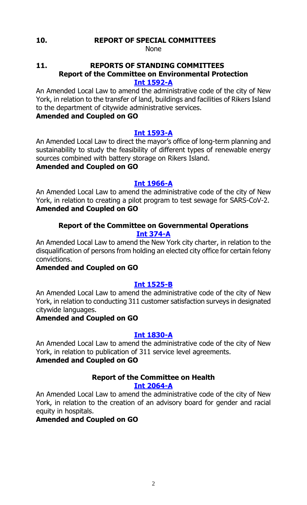#### **10. REPORT OF SPECIAL COMMITTEES**

None

# **11. REPORTS OF STANDING COMMITTEES Report of the Committee on Environmental Protection**

#### **[Int 1592-A](https://legistar.council.nyc.gov/LegislationDetail.aspx?ID=3983008&GUID=33061BE9-BD8C-4F5A-8165-AD3DFD0BFDF0&Options=&Search=)**

An Amended Local Law to amend the administrative code of the city of New York, in relation to the transfer of land, buildings and facilities of Rikers Island to the department of citywide administrative services.

# **Amended and Coupled on GO**

### **[Int 1593-A](https://legistar.council.nyc.gov/LegislationDetail.aspx?ID=3983009&GUID=E849D36F-29DC-4434-A298-46547C53E0CF&Options=&Search=)**

An Amended Local Law to direct the mayor's office of long-term planning and sustainability to study the feasibility of different types of renewable energy sources combined with battery storage on Rikers Island.

# **Amended and Coupled on GO**

# **[Int 1966-A](https://legistar.council.nyc.gov/LegislationDetail.aspx?ID=4573811&GUID=6711C617-20A6-4151-9F52-91267048E8A1&Options=&Search=)**

An Amended Local Law to amend the administrative code of the city of New York, in relation to creating a pilot program to test sewage for SARS-CoV-2. **Amended and Coupled on GO**

### **Report of the Committee on Governmental Operations [Int 374-A](https://legistar.council.nyc.gov/LegislationDetail.aspx?ID=3332128&GUID=DE86FE77-545D-4E39-9C86-93CF369F9FB6&Options=&Search=)**

An Amended Local Law to amend the New York city charter, in relation to the disqualification of persons from holding an elected city office for certain felony convictions.

# **Amended and Coupled on GO**

# **[Int 1525-B](https://legistar.council.nyc.gov/LegislationDetail.aspx?ID=3923896&GUID=86783671-B200-46DF-9F5F-72811EE3737E&Options=&Search=)**

An Amended Local Law to amend the administrative code of the city of New York, in relation to conducting 311 customer satisfaction surveys in designated citywide languages.

# **Amended and Coupled on GO**

#### **[Int 1830-A](https://legistar.council.nyc.gov/LegislationDetail.aspx?ID=4286206&GUID=178E637A-CB2B-4316-9E38-91718C698EB5&Options=&Search=)**

An Amended Local Law to amend the administrative code of the city of New York, in relation to publication of 311 service level agreements.

# **Amended and Coupled on GO**

#### **Report of the Committee on Health [Int 2064-A](https://legistar.council.nyc.gov/LegislationDetail.aspx?ID=4624912&GUID=664AC4AA-3328-4968-B434-A0F12DD7C70F&Options=&Search=)**

An Amended Local Law to amend the administrative code of the city of New York, in relation to the creation of an advisory board for gender and racial equity in hospitals.

# **Amended and Coupled on GO**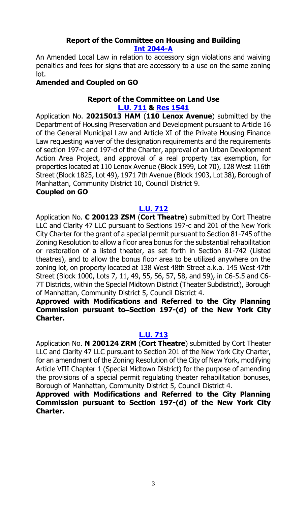### **Report of the Committee on Housing and Building [Int 2044-A](https://legistar.council.nyc.gov/LegislationDetail.aspx?ID=4624862&GUID=917908D8-A233-436F-8C9B-8028746FE30B&Options=&Search=)**

An Amended Local Law in relation to accessory sign violations and waiving penalties and fees for signs that are accessory to a use on the same zoning lot.

# **Amended and Coupled on GO**

# **Report of the Committee on Land Use**

**[L.U.](https://legistar.council.nyc.gov/LegislationDetail.aspx?ID=4743804&GUID=13750D4E-A587-4285-94C4-6D5EC13138FD&Options=&Search=) 711 & Res [1541](https://legistar.council.nyc.gov/LegislationDetail.aspx?ID=4795741&GUID=555AC623-1536-457E-B939-D90EEE59E4ED&Options=ID|Text|&Search=)**

Application No. **20215013 HAM** (**110 Lenox Avenue**) submitted by the Department of Housing Preservation and Development pursuant to Article 16 of the General Municipal Law and Article XI of the Private Housing Finance Law requesting waiver of the designation requirements and the requirements of section 197-c and 197-d of the Charter, approval of an Urban Development Action Area Project, and approval of a real property tax exemption, for properties located at 110 Lenox Avenue (Block 1599, Lot 70), 128 West 116th Street (Block 1825, Lot 49), 1971 7th Avenue (Block 1903, Lot 38), Borough of Manhattan, Community District 10, Council District 9.

### **Coupled on GO**

# **[L.U. 712](https://legistar.council.nyc.gov/LegislationDetail.aspx?ID=4742937&GUID=48B71E5E-1262-4D3B-997F-695FF0DC207C&Options=&Search=)**

Application No. **C 200123 ZSM** (**Cort Theatre**) submitted by Cort Theatre LLC and Clarity 47 LLC pursuant to Sections 197-c and 201 of the New York City Charter for the grant of a special permit pursuant to Section 81-745 of the Zoning Resolution to allow a floor area bonus for the substantial rehabilitation or restoration of a listed theater, as set forth in Section 81-742 (Listed theatres), and to allow the bonus floor area to be utilized anywhere on the zoning lot, on property located at 138 West 48th Street a.k.a. 145 West 47th Street (Block 1000, Lots 7, 11, 49, 55, 56, 57, 58, and 59), in C6-5.5 and C6- 7T Districts, within the Special Midtown District (Theater Subdistrict), Borough of Manhattan, Community District 5, Council District 4.

**Approved with Modifications and Referred to the City Planning**  Commission pursuant to–Section 197-(d) of the New York City **Charter.**

# **[L.U. 713](https://legistar.council.nyc.gov/LegislationDetail.aspx?ID=4742938&GUID=BB51C6CB-E472-4703-803F-1AE38A649A6E&Options=&Search=)**

Application No. **N 200124 ZRM** (**Cort Theatre**) submitted by Cort Theater LLC and Clarity 47 LLC pursuant to Section 201 of the New York City Charter, for an amendment of the Zoning Resolution of the City of New York, modifying Article VIII Chapter 1 (Special Midtown District) for the purpose of amending the provisions of a special permit regulating theater rehabilitation bonuses, Borough of Manhattan, Community District 5, Council District 4.

**Approved with Modifications and Referred to the City Planning**  Commission pursuant to–Section 197-(d) of the New York City **Charter.**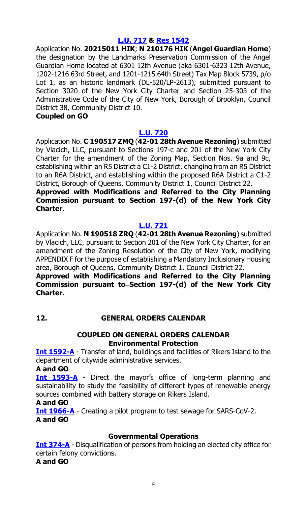## **[L.U. 717](https://legistar.council.nyc.gov/LegislationDetail.aspx?ID=4754112&GUID=D193FB01-018D-4ED7-996A-923E7A1FFEE2&Options=&Search=) & Res [1542](https://legistar.council.nyc.gov/LegislationDetail.aspx?ID=4795742&GUID=982B42E7-BCE1-45FC-95D4-88B4BBE95677&Options=ID|Text|&Search=)**

Application No. **20215011 HIK**; **N 210176 HIK** (**Angel Guardian Home**) the designation by the Landmarks Preservation Commission of the Angel Guardian Home located at 6301 12th Avenue (aka 6301-6323 12th Avenue, 1202-1216 63rd Street, and 1201-1215 64th Street) Tax Map Block 5739, p/o Lot 1, as an historic landmark (DL-520/LP-2613), submitted pursuant to Section 3020 of the New York City Charter and Section 25-303 of the Administrative Code of the City of New York, Borough of Brooklyn, Council District 38, Community District 10.

#### **Coupled on GO**

#### **[L.U. 720](https://legistar.council.nyc.gov/LegislationDetail.aspx?ID=4754171&GUID=3788692B-A867-49BD-A512-70FEA25242C3&Options=&Search=)**

Application No. **C 190517 ZMQ** (**42-01 28th Avenue Rezoning**) submitted by Vlacich, LLC, pursuant to Sections 197-c and 201 of the New York City Charter for the amendment of the Zoning Map, Section Nos. 9a and 9c, establishing within an R5 District a C1-2 District, changing from an R5 District to an R6A District, and establishing within the proposed R6A District a C1-2 District, Borough of Queens, Community District 1, Council District 22.

#### **Approved with Modifications and Referred to the City Planning Commission pursuant to Section 197-(d) of the New York City Charter.**

#### **[L.U. 721](https://legistar.council.nyc.gov/LegislationDetail.aspx?ID=4754172&GUID=F775724C-E3C9-4A57-9CE6-20DEF8DC7AF6&Options=&Search=)**

Application No. **N 190518 ZRQ** (**42-01 28th Avenue Rezoning**) submitted by Vlacich, LLC, pursuant to Section 201 of the New York City Charter, for an amendment of the Zoning Resolution of the City of New York, modifying APPENDIX F for the purpose of establishing a Mandatory Inclusionary Housing area, Borough of Queens, Community District 1, Council District 22.

#### **Approved with Modifications and Referred to the City Planning**  Commission pursuant to–Section 197-(d) of the New York City **Charter.**

# **12. GENERAL ORDERS CALENDAR**

#### **COUPLED ON GENERAL ORDERS CALENDAR Environmental Protection**

**[Int 1592-A](https://legistar.council.nyc.gov/LegislationDetail.aspx?ID=3983008&GUID=33061BE9-BD8C-4F5A-8165-AD3DFD0BFDF0&Options=&Search=)** - Transfer of land, buildings and facilities of Rikers Island to the department of citywide administrative services.

#### **A and GO**

**[Int 1593-A](https://legistar.council.nyc.gov/LegislationDetail.aspx?ID=3983009&GUID=E849D36F-29DC-4434-A298-46547C53E0CF&Options=&Search=)** - Direct the mayor's office of long-term planning and sustainability to study the feasibility of different types of renewable energy sources combined with battery storage on Rikers Island.

#### **A and GO**

**[Int 1966-A](https://legistar.council.nyc.gov/LegislationDetail.aspx?ID=4573811&GUID=6711C617-20A6-4151-9F52-91267048E8A1&Options=&Search=)** - Creating a pilot program to test sewage for SARS-CoV-2. **A and GO**

#### **Governmental Operations**

**[Int 374-A](https://legistar.council.nyc.gov/LegislationDetail.aspx?ID=3332128&GUID=DE86FE77-545D-4E39-9C86-93CF369F9FB6&Options=&Search=)** - Disqualification of persons from holding an elected city office for certain felony convictions.

#### **A and GO**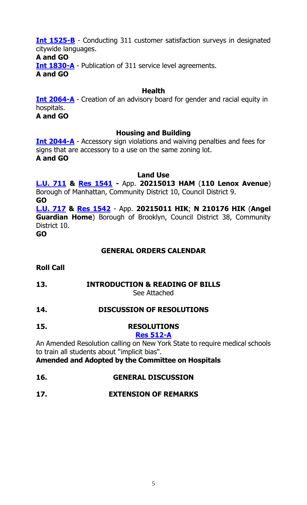**[Int 1525-B](https://legistar.council.nyc.gov/LegislationDetail.aspx?ID=3923896&GUID=86783671-B200-46DF-9F5F-72811EE3737E&Options=&Search=)** - Conducting 311 customer satisfaction surveys in designated citywide languages.

#### **A and GO**

**[Int 1830-A](https://legistar.council.nyc.gov/LegislationDetail.aspx?ID=4286206&GUID=178E637A-CB2B-4316-9E38-91718C698EB5&Options=&Search=)** - Publication of 311 service level agreements.

**A and GO**

### **Health**

**[Int 2064-A](https://legistar.council.nyc.gov/LegislationDetail.aspx?ID=4624912&GUID=664AC4AA-3328-4968-B434-A0F12DD7C70F&Options=&Search=)** - Creation of an advisory board for gender and racial equity in hospitals. **A and GO**

### **Housing and Building**

**[Int 2044-A](https://legistar.council.nyc.gov/LegislationDetail.aspx?ID=4624862&GUID=917908D8-A233-436F-8C9B-8028746FE30B&Options=&Search=)** - Accessory sign violations and waiving penalties and fees for signs that are accessory to a use on the same zoning lot. **A and GO**

#### **Land Use**

**[L.U.](https://legistar.council.nyc.gov/LegislationDetail.aspx?ID=4743804&GUID=13750D4E-A587-4285-94C4-6D5EC13138FD&Options=&Search=) 711 & Res [1541](https://legistar.council.nyc.gov/LegislationDetail.aspx?ID=4795741&GUID=555AC623-1536-457E-B939-D90EEE59E4ED&Options=ID|Text|&Search=) -** App. **20215013 HAM** (**110 Lenox Avenue**) Borough of Manhattan, Community District 10, Council District 9. **GO**

**[L.U. 717](https://legistar.council.nyc.gov/LegislationDetail.aspx?ID=4754112&GUID=D193FB01-018D-4ED7-996A-923E7A1FFEE2&Options=&Search=) & Res [1542](https://legistar.council.nyc.gov/LegislationDetail.aspx?ID=4795742&GUID=982B42E7-BCE1-45FC-95D4-88B4BBE95677&Options=ID|Text|&Search=)** - App. **20215011 HIK**; **N 210176 HIK** (**Angel Guardian Home**) Borough of Brooklyn, Council District 38, Community District 10.

**GO**

# **GENERAL ORDERS CALENDAR**

**Roll Call**

# **13. INTRODUCTION & READING OF BILLS**

See Attached

# **14. DISCUSSION OF RESOLUTIONS**

**15. RESOLUTIONS**

#### **Res [512-A](https://legistar.council.nyc.gov/LegislationDetail.aspx?ID=3673454&GUID=2684571E-7638-488D-A246-F2F6BD8A9EE2&Options=&Search=)**

An Amended Resolution calling on New York State to require medical schools to train all students about "implicit bias".

**Amended and Adopted by the Committee on Hospitals**

- **16. GENERAL DISCUSSION**
- **17. EXTENSION OF REMARKS**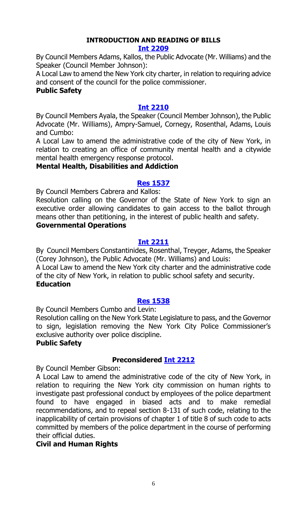# **INTRODUCTION AND READING OF BILLS**

#### **[Int 2209](https://legistar.council.nyc.gov/LegislationDetail.aspx?ID=4771042&GUID=510F929A-DDB6-4C8C-9F28-93069BD24873&Options=ID|Text|&Search=)**

By Council Members Adams, Kallos, the Public Advocate (Mr. Williams) and the Speaker (Council Member Johnson):

A Local Law to amend the New York city charter, in relation to requiring advice and consent of the council for the police commissioner.

#### **Public Safety**

#### **[Int 2210](https://legistar.council.nyc.gov/LegislationDetail.aspx?ID=4771203&GUID=9C0BFCBA-27F6-40ED-A301-F031DC1E809A&Options=ID|Text|&Search=)**

By Council Members Ayala, the Speaker (Council Member Johnson), the Public Advocate (Mr. Williams), Ampry-Samuel, Cornegy, Rosenthal, Adams, Louis and Cumbo:

A Local Law to amend the administrative code of the city of New York, in relation to creating an office of community mental health and a citywide mental health emergency response protocol.

#### **Mental Health, Disabilities and Addiction**

### **[Res 1537](https://legistar.council.nyc.gov/LegislationDetail.aspx?ID=4795461&GUID=734899AF-3127-451B-8AF6-EC609507E54A&Options=ID|Text|&Search=)**

By Council Members Cabrera and Kallos:

Resolution calling on the Governor of the State of New York to sign an executive order allowing candidates to gain access to the ballot through means other than petitioning, in the interest of public health and safety.

#### **Governmental Operations**

#### **[Int 2211](https://legistar.council.nyc.gov/LegislationDetail.aspx?ID=4772117&GUID=CB34AF5E-86BE-475F-BE25-562D12570412&Options=ID|Text|&Search=)**

By Council Members Constantinides, Rosenthal, Treyger, Adams, the Speaker (Corey Johnson), the Public Advocate (Mr. Williams) and Louis:

A Local Law to amend the New York city charter and the administrative code of the city of New York, in relation to public school safety and security. **Education**

#### **[Res 1538](https://legistar.council.nyc.gov/LegislationDetail.aspx?ID=4770966&GUID=E46D2B5C-5036-4206-BFFA-C6F7114D4F6C&Options=ID|Text|&Search=)**

By Council Members Cumbo and Levin:

Resolution calling on the New York State Legislature to pass, and the Governor to sign, legislation removing the New York City Police Commissioner's exclusive authority over police discipline.

#### **Public Safety**

# **Preconsidered [Int 2212](https://legistar.council.nyc.gov/LegislationDetail.aspx?ID=4770945&GUID=B5D55B19-D0FD-440C-999F-1708BF09F374&Options=ID|Text|&Search=)**

By Council Member Gibson:

A Local Law to amend the administrative code of the city of New York, in relation to requiring the New York city commission on human rights to investigate past professional conduct by employees of the police department found to have engaged in biased acts and to make remedial recommendations, and to repeal section 8-131 of such code, relating to the inapplicability of certain provisions of chapter 1 of title 8 of such code to acts committed by members of the police department in the course of performing their official duties.

# **Civil and Human Rights**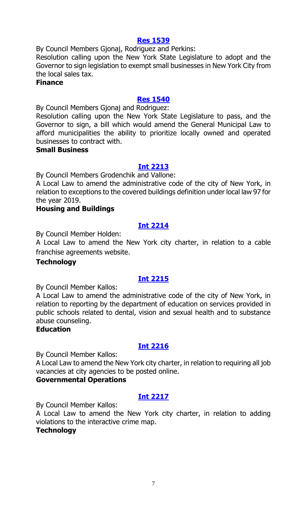#### **[Res 1539](https://legistar.council.nyc.gov/LegislationDetail.aspx?ID=4795462&GUID=2C4CF891-EC78-4C35-92C4-324A7294272D&Options=ID|Text|&Search=)**

By Council Members Gjonaj, Rodriguez and Perkins:

Resolution calling upon the New York State Legislature to adopt and the Governor to sign legislation to exempt small businesses in New York City from the local sales tax.

#### **Finance**

#### **[Res 1540](https://legistar.council.nyc.gov/LegislationDetail.aspx?ID=4795465&GUID=F2820183-A36B-4C70-AA64-2DAFAB6D25B3&Options=ID|Text|&Search=)**

By Council Members Gjonaj and Rodriguez:

Resolution calling upon the New York State Legislature to pass, and the Governor to sign, a bill which would amend the General Municipal Law to afford municipalities the ability to prioritize locally owned and operated businesses to contract with.

#### **Small Business**

#### **[Int 2213](https://legistar.council.nyc.gov/LegislationDetail.aspx?ID=4795463&GUID=C6E13E9D-ADC4-41FA-8C32-9A76CB6B7EF4&Options=ID|Text|&Search=)**

By Council Members Grodenchik and Vallone:

A Local Law to amend the administrative code of the city of New York, in relation to exceptions to the covered buildings definition under local law 97 for the year 2019.

#### **Housing and Buildings**

#### **[Int 2214](https://legistar.council.nyc.gov/LegislationDetail.aspx?ID=4795464&GUID=D786D938-7996-4EAC-8127-C45E1ACC3DE5&Options=ID|Text|&Search=)**

By Council Member Holden:

A Local Law to amend the New York city charter, in relation to a cable franchise agreements website.

#### **Technology**

#### **[Int 2215](https://legistar.council.nyc.gov/LegislationDetail.aspx?ID=4795470&GUID=716CBFA6-79C1-45F2-BCFA-C2F4AD55746E&Options=ID|Text|&Search=)**

By Council Member Kallos:

A Local Law to amend the administrative code of the city of New York, in relation to reporting by the department of education on services provided in public schools related to dental, vision and sexual health and to substance abuse counseling.

#### **Education**

# **[Int 2216](https://legistar.council.nyc.gov/LegislationDetail.aspx?ID=4795469&GUID=66154A04-700F-449E-B515-B8D6E2FBB025&Options=ID|Text|&Search=)**

By Council Member Kallos:

A Local Law to amend the New York city charter, in relation to requiring all job vacancies at city agencies to be posted online.

#### **Governmental Operations**

#### **[Int 2217](https://legistar.council.nyc.gov/LegislationDetail.aspx?ID=4795471&GUID=39BB5F08-F6E6-4BD3-8A53-D7218C935E7A&Options=ID|Text|&Search=)**

By Council Member Kallos:

A Local Law to amend the New York city charter, in relation to adding violations to the interactive crime map.

#### **Technology**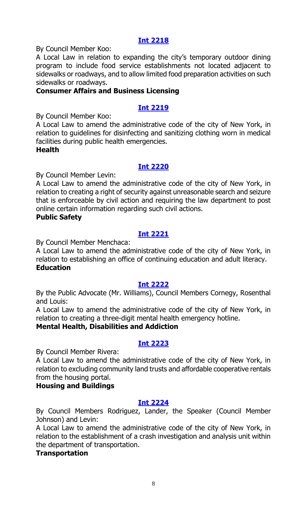#### **[Int 2218](https://legistar.council.nyc.gov/LegislationDetail.aspx?ID=4795473&GUID=D88A67EC-51FE-4CDA-BE07-ED496AE94C6D&Options=ID|Text|&Search=)**

By Council Member Koo:

A Local Law in relation to expanding the city's temporary outdoor dining program to include food service establishments not located adjacent to sidewalks or roadways, and to allow limited food preparation activities on such sidewalks or roadways.

#### **Consumer Affairs and Business Licensing**

## **[Int 2219](https://legistar.council.nyc.gov/LegislationDetail.aspx?ID=4795472&GUID=8C1C07A1-A8DD-47D5-964B-208054F90BA5&Options=ID|Text|&Search=)**

By Council Member Koo:

A Local Law to amend the administrative code of the city of New York, in relation to guidelines for disinfecting and sanitizing clothing worn in medical facilities during public health emergencies.

#### **Health**

#### **[Int 2220](https://legistar.council.nyc.gov/LegislationDetail.aspx?ID=4771043&GUID=32ED0C83-7506-45F9-81AA-F5144FCA193A&Options=ID|Text|&Search=)**

By Council Member Levin:

A Local Law to amend the administrative code of the city of New York, in relation to creating a right of security against unreasonable search and seizure that is enforceable by civil action and requiring the law department to post online certain information regarding such civil actions.

#### **Public Safety**

### **[Int 2221](https://legistar.council.nyc.gov/LegislationDetail.aspx?ID=4795476&GUID=A9658DAD-CCED-4E1F-B377-FF40F91F17B4&Options=ID|Text|&Search=)**

By Council Member Menchaca:

A Local Law to amend the administrative code of the city of New York, in relation to establishing an office of continuing education and adult literacy. **Education**

#### **[Int 2222](https://legistar.council.nyc.gov/LegislationDetail.aspx?ID=4773957&GUID=861FFE36-B8B1-48B2-A87F-47BC7F1E4C83&Options=ID|Text|&Search=)**

By the Public Advocate (Mr. Williams), Council Members Cornegy, Rosenthal and Louis:

A Local Law to amend the administrative code of the city of New York, in relation to creating a three-digit mental health emergency hotline.

#### **Mental Health, Disabilities and Addiction**

#### **[Int 2223](https://legistar.council.nyc.gov/LegislationDetail.aspx?ID=4795479&GUID=DC766C18-B41A-4214-BD40-5652B11C6E89&Options=ID|Text|&Search=)**

By Council Member Rivera:

A Local Law to amend the administrative code of the city of New York, in relation to excluding community land trusts and affordable cooperative rentals from the housing portal.

#### **Housing and Buildings**

#### **[Int 2224](https://legistar.council.nyc.gov/LegislationDetail.aspx?ID=4772928&GUID=01D4E742-197B-492E-B4CB-96DB078682FC&Options=ID|Text|&Search=)**

By Council Members Rodriguez, Lander, the Speaker (Council Member Johnson) and Levin:

A Local Law to amend the administrative code of the city of New York, in relation to the establishment of a crash investigation and analysis unit within the department of transportation.

#### **Transportation**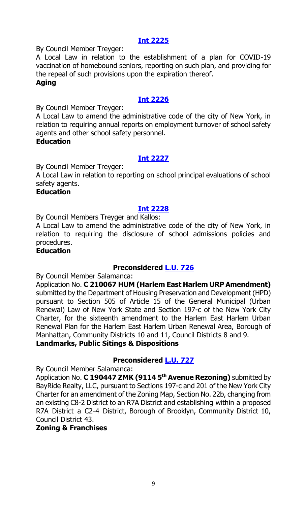#### **[Int 2225](https://legistar.council.nyc.gov/LegislationDetail.aspx?ID=4794733&GUID=07D62EEB-0709-464C-9031-E1EBEA15CBF6&Options=ID|Text|&Search=)**

By Council Member Treyger:

A Local Law in relation to the establishment of a plan for COVID-19 vaccination of homebound seniors, reporting on such plan, and providing for the repeal of such provisions upon the expiration thereof.

#### **Aging**

## **[Int 2226](https://legistar.council.nyc.gov/LegislationDetail.aspx?ID=4772118&GUID=16BD7735-384E-4704-86DB-8A81D3A4C791&Options=ID|Text|&Search=)**

By Council Member Treyger:

A Local Law to amend the administrative code of the city of New York, in relation to requiring annual reports on employment turnover of school safety agents and other school safety personnel.

#### **Education**

# **[Int 2227](https://legistar.council.nyc.gov/LegislationDetail.aspx?ID=4772135&GUID=2719F4FB-BA24-4F63-B33B-8900AAD329F2&Options=ID|Text|&Search=)**

By Council Member Treyger:

A Local Law in relation to reporting on school principal evaluations of school safety agents.

#### **Education**

#### **[Int 2228](https://legistar.council.nyc.gov/LegislationDetail.aspx?ID=4795478&GUID=EC94C887-2E8B-4C32-A794-E19AF42CEDC5&Options=ID|Text|&Search=)**

By Council Members Treyger and Kallos:

A Local Law to amend the administrative code of the city of New York, in relation to requiring the disclosure of school admissions policies and procedures.

#### **Education**

# **Preconsidered [L.U. 726](https://legistar.council.nyc.gov/LegislationDetail.aspx?ID=4791267&GUID=F34C12C6-B362-4FC7-BDEC-A27DE0245D9C&Options=ID|Text|&Search=)**

By Council Member Salamanca:

Application No. **C 210067 HUM (Harlem East Harlem URP Amendment)** submitted by the Department of Housing Preservation and Development (HPD) pursuant to Section 505 of Article 15 of the General Municipal (Urban Renewal) Law of New York State and Section 197-c of the New York City Charter, for the sixteenth amendment to the Harlem East Harlem Urban Renewal Plan for the Harlem East Harlem Urban Renewal Area, Borough of Manhattan, Community Districts 10 and 11, Council Districts 8 and 9. **Landmarks, Public Sitings & Dispositions**

# **Preconsidered [L.U. 727](https://legistar.council.nyc.gov/LegislationDetail.aspx?ID=4793033&GUID=202884D9-D81A-4C69-B829-6D893CD41CB6&Options=ID|Text|&Search=)**

By Council Member Salamanca:

Application No. **C 190447 ZMK (9114 5th Avenue Rezoning)** submitted by BayRide Realty, LLC, pursuant to Sections 197-c and 201 of the New York City Charter for an amendment of the Zoning Map, Section No. 22b, changing from an existing C8-2 District to an R7A District and establishing within a proposed R7A District a C2-4 District, Borough of Brooklyn, Community District 10, Council District 43.

#### **Zoning & Franchises**